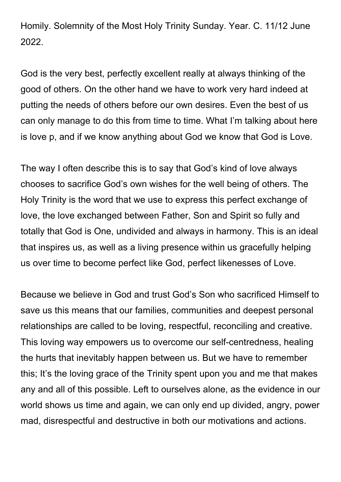Homily. Solemnity of the Most Holy Trinity Sunday. Year. C. 11/12 June 2022.

God is the very best, perfectly excellent really at always thinking of the good of others. On the other hand we have to work very hard indeed at putting the needs of others before our own desires. Even the best of us can only manage to do this from time to time. What I'm talking about here is love p, and if we know anything about God we know that God is Love.

The way I often describe this is to say that God's kind of love always chooses to sacrifice God's own wishes for the well being of others. The Holy Trinity is the word that we use to express this perfect exchange of love, the love exchanged between Father, Son and Spirit so fully and totally that God is One, undivided and always in harmony. This is an ideal that inspires us, as well as a living presence within us gracefully helping us over time to become perfect like God, perfect likenesses of Love.

Because we believe in God and trust God's Son who sacrificed Himself to save us this means that our families, communities and deepest personal relationships are called to be loving, respectful, reconciling and creative. This loving way empowers us to overcome our self-centredness, healing the hurts that inevitably happen between us. But we have to remember this; It's the loving grace of the Trinity spent upon you and me that makes any and all of this possible. Left to ourselves alone, as the evidence in our world shows us time and again, we can only end up divided, angry, power mad, disrespectful and destructive in both our motivations and actions.